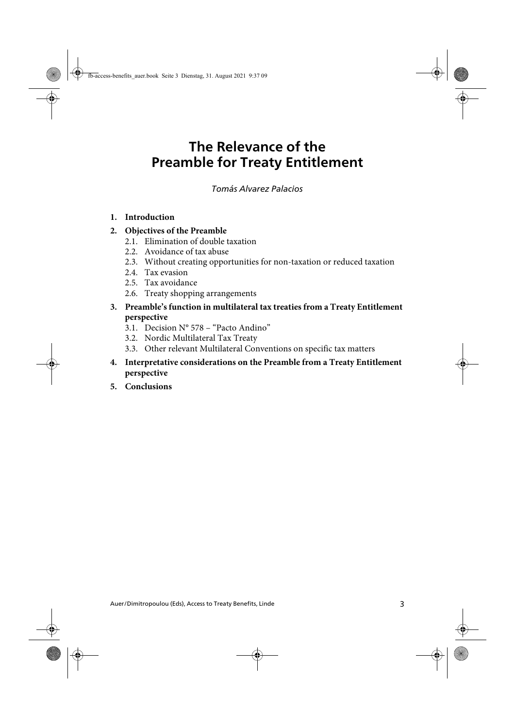# **The Relevance of the Preamble for Treaty Entitlement**

The Relevance of the Preamble for Treaty Entitlement Alvarez Palacios *Tomás Alvarez Palacios*

#### **1. Introduction**

#### **2. Objectives of the Preamble**

- 2.1. Elimination of double taxation
- 2.2. Avoidance of tax abuse
- 2.3. Without creating opportunities for non-taxation or reduced taxation
- 2.4. Tax evasion
- 2.5. Tax avoidance
- 2.6. Treaty shopping arrangements

### **3. Preamble's function in multilateral tax treaties from a Treaty Entitlement perspective**

- 3.1. Decision N° 578 "Pacto Andino"
- 3.2. Nordic Multilateral Tax Treaty
- 3.3. Other relevant Multilateral Conventions on specific tax matters
- **4. Interpretative considerations on the Preamble from a Treaty Entitlement perspective**
- **5. Conclusions**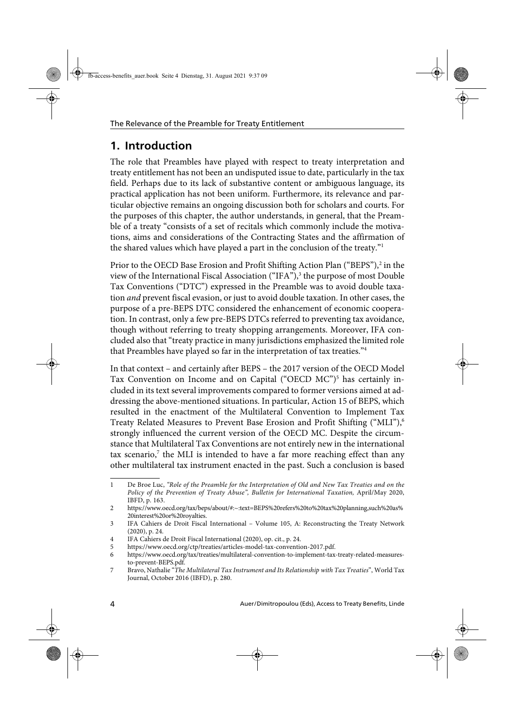## **1. Introduction**

The role that Preambles have played with respect to treaty interpretation and treaty entitlement has not been an undisputed issue to date, particularly in the tax field. Perhaps due to its lack of substantive content or ambiguous language, its practical application has not been uniform. Furthermore, its relevance and particular objective remains an ongoing discussion both for scholars and courts. For the purposes of this chapter, the author understands, in general, that the Preamble of a treaty "consists of a set of recitals which commonly include the motivations, aims and considerations of the Contracting States and the affirmation of the shared values which have played a part in the conclusion of the treaty."1

Prior to the OECD Base Erosion and Profit Shifting Action Plan ("BEPS"),<sup>2</sup> in the view of the International Fiscal Association ("IFA"),<sup>3</sup> the purpose of most Double Tax Conventions ("DTC") expressed in the Preamble was to avoid double taxation *and* prevent fiscal evasion, or just to avoid double taxation. In other cases, the purpose of a pre-BEPS DTC considered the enhancement of economic cooperation. In contrast, only a few pre-BEPS DTCs referred to preventing tax avoidance, though without referring to treaty shopping arrangements. Moreover, IFA concluded also that "treaty practice in many jurisdictions emphasized the limited role that Preambles have played so far in the interpretation of tax treaties."4

In that context – and certainly after BEPS – the 2017 version of the OECD Model Tax Convention on Income and on Capital ("OECD MC")<sup>5</sup> has certainly included in its text several improvements compared to former versions aimed at addressing the above-mentioned situations. In particular, Action 15 of BEPS, which resulted in the enactment of the Multilateral Convention to Implement Tax Treaty Related Measures to Prevent Base Erosion and Profit Shifting ("MLI"),<sup>6</sup> strongly influenced the current version of the OECD MC. Despite the circumstance that Multilateral Tax Conventions are not entirely new in the international tax scenario,<sup>7</sup> the MLI is intended to have a far more reaching effect than any other multilateral tax instrument enacted in the past. Such a conclusion is based

<sup>1</sup> De Broe Luc, *"Role of the Preamble for the Interpretation of Old and New Tax Treaties and on the* Policy of the Prevention of Treaty Abuse", Bulletin for International Taxation, April/May 2020, IBFD, p. 163.

<sup>2</sup> https://www.oecd.org/tax/beps/about/#:~:text=BEPS%20refers%20to%20tax%20planning,such%20as% 20interest%20or%20royalties.

<sup>3</sup> IFA Cahiers de Droit Fiscal International – Volume 105, A: Reconstructing the Treaty Network (2020), p. 24.

<sup>4</sup> IFA Cahiers de Droit Fiscal International (2020), op. cit., p. 24.

<sup>5</sup> https://www.oecd.org/ctp/treaties/articles-model-tax-convention-2017.pdf.

<sup>6</sup> https://www.oecd.org/tax/treaties/multilateral-convention-to-implement-tax-treaty-related-measuresto-prevent-BEPS.pdf.

<sup>7</sup> Bravo, Nathalie "*The Multilateral Tax Instrument and Its Relationship with Tax Treaties*", World Tax Journal, October 2016 (IBFD), p. 280.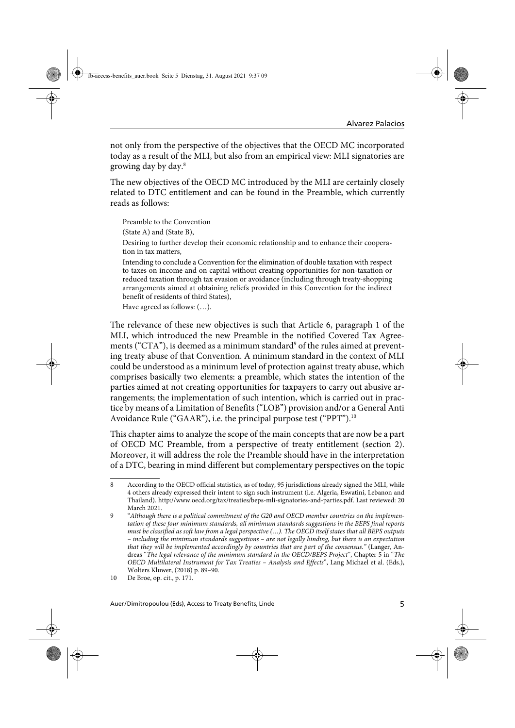not only from the perspective of the objectives that the OECD MC incorporated today as a result of the MLI, but also from an empirical view: MLI signatories are growing day by day.8

The new objectives of the OECD MC introduced by the MLI are certainly closely related to DTC entitlement and can be found in the Preamble, which currently reads as follows:

Preamble to the Convention

(State A) and (State B),

Desiring to further develop their economic relationship and to enhance their cooperation in tax matters,

Intending to conclude a Convention for the elimination of double taxation with respect to taxes on income and on capital without creating opportunities for non-taxation or reduced taxation through tax evasion or avoidance (including through treaty-shopping arrangements aimed at obtaining reliefs provided in this Convention for the indirect benefit of residents of third States),

Have agreed as follows: (…).

The relevance of these new objectives is such that Article 6, paragraph 1 of the MLI, which introduced the new Preamble in the notified Covered Tax Agreements ("CTA"), is deemed as a minimum standard<sup>9</sup> of the rules aimed at preventing treaty abuse of that Convention. A minimum standard in the context of MLI could be understood as a minimum level of protection against treaty abuse, which comprises basically two elements: a preamble, which states the intention of the parties aimed at not creating opportunities for taxpayers to carry out abusive arrangements; the implementation of such intention, which is carried out in practice by means of a Limitation of Benefits ("LOB") provision and/or a General Anti Avoidance Rule ("GAAR"), i.e. the principal purpose test ("PPT").<sup>10</sup>

This chapter aims to analyze the scope of the main concepts that are now be a part of OECD MC Preamble, from a perspective of treaty entitlement (section 2). Moreover, it will address the role the Preamble should have in the interpretation of a DTC, bearing in mind different but complementary perspectives on the topic

<sup>8</sup> According to the OECD official statistics, as of today, 95 jurisdictions already signed the MLI, while 4 others already expressed their intent to sign such instrument (i.e. Algeria, Eswatini, Lebanon and Thailand). http://www.oecd.org/tax/treaties/beps-mli-signatories-and-parties.pdf. Last reviewed: 20 March 2021.

<sup>9 &</sup>quot;*Although there is a political commitment of the G20 and OECD member countries on the implementation of these four minimum standards, all minimum standards suggestions in the BEPS final reports must be classified as soft law from a legal perspective (…). The OECD itself states that all BEPS outputs – including the minimum standards suggestions – are not legally binding, but there is an expectation that they will be implemented accordingly by countries that are part of the consensus."* (Langer, Andreas "*The legal relevance of the minimum standard in the OECD/BEPS Project*", Chapter 5 in "*The OECD Multilateral Instrument for Tax Treaties – Analysis and Effects*", Lang Michael et al. (Eds.), Wolters Kluwer, (2018) p. 89–90.

<sup>10</sup> De Broe, op. cit., p. 171.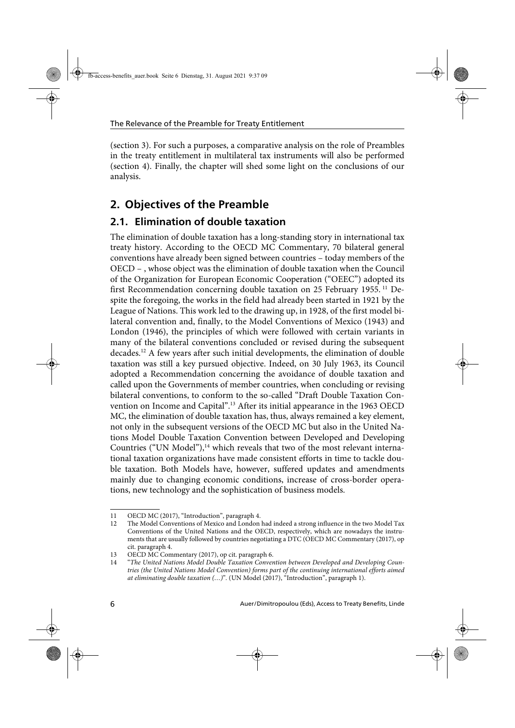(section 3). For such a purposes, a comparative analysis on the role of Preambles in the treaty entitlement in multilateral tax instruments will also be performed (section 4). Finally, the chapter will shed some light on the conclusions of our analysis.

## **2. Objectives of the Preamble**

### **2.1. Elimination of double taxation**

The elimination of double taxation has a long-standing story in international tax treaty history. According to the OECD MC Commentary, 70 bilateral general conventions have already been signed between countries – today members of the OECD – , whose object was the elimination of double taxation when the Council of the Organization for European Economic Cooperation ("OEEC") adopted its first Recommendation concerning double taxation on 25 February 1955.<sup>11</sup> Despite the foregoing, the works in the field had already been started in 1921 by the League of Nations. This work led to the drawing up, in 1928, of the first model bilateral convention and, finally, to the Model Conventions of Mexico (1943) and London (1946), the principles of which were followed with certain variants in many of the bilateral conventions concluded or revised during the subsequent decades.12 A few years after such initial developments, the elimination of double taxation was still a key pursued objective. Indeed, on 30 July 1963, its Council adopted a Recommendation concerning the avoidance of double taxation and called upon the Governments of member countries, when concluding or revising bilateral conventions, to conform to the so-called "Draft Double Taxation Convention on Income and Capital".13 After its initial appearance in the 1963 OECD MC, the elimination of double taxation has, thus, always remained a key element, not only in the subsequent versions of the OECD MC but also in the United Nations Model Double Taxation Convention between Developed and Developing Countries ("UN Model"),<sup>14</sup> which reveals that two of the most relevant international taxation organizations have made consistent efforts in time to tackle double taxation. Both Models have, however, suffered updates and amendments mainly due to changing economic conditions, increase of cross-border operations, new technology and the sophistication of business models.

<sup>11</sup> OECD MC (2017), "Introduction", paragraph 4.

<sup>12</sup> The Model Conventions of Mexico and London had indeed a strong influence in the two Model Tax Conventions of the United Nations and the OECD, respectively, which are nowadays the instruments that are usually followed by countries negotiating a DTC (OECD MC Commentary (2017), op cit. paragraph 4.

<sup>13</sup> OECD MC Commentary (2017), op cit. paragraph 6.

<sup>14 &</sup>quot;*The United Nations Model Double Taxation Convention between Developed and Developing Countries (the United Nations Model Convention) forms part of the continuing international efforts aimed at eliminating double taxation (…)*"*.* (UN Model (2017), "Introduction", paragraph 1).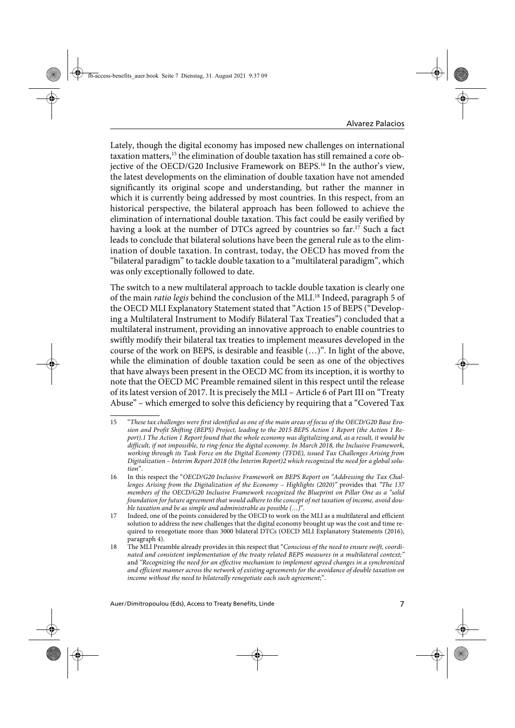Lately, though the digital economy has imposed new challenges on international taxation matters,<sup>15</sup> the elimination of double taxation has still remained a core objective of the OECD/G20 Inclusive Framework on BEPS.<sup>16</sup> In the author's view, the latest developments on the elimination of double taxation have not amended significantly its original scope and understanding, but rather the manner in which it is currently being addressed by most countries. In this respect, from an historical perspective, the bilateral approach has been followed to achieve the elimination of international double taxation. This fact could be easily verified by having a look at the number of DTCs agreed by countries so far.<sup>17</sup> Such a fact leads to conclude that bilateral solutions have been the general rule as to the elimination of double taxation. In contrast, today, the OECD has moved from the "bilateral paradigm" to tackle double taxation to a "multilateral paradigm", which was only exceptionally followed to date.

The switch to a new multilateral approach to tackle double taxation is clearly one of the main *ratio legis* behind the conclusion of the MLI.18 Indeed, paragraph 5 of the OECD MLI Explanatory Statement stated that "Action 15 of BEPS ("Developing a Multilateral Instrument to Modify Bilateral Tax Treaties") concluded that a multilateral instrument, providing an innovative approach to enable countries to swiftly modify their bilateral tax treaties to implement measures developed in the course of the work on BEPS, is desirable and feasible (…)". In light of the above, while the elimination of double taxation could be seen as one of the objectives that have always been present in the OECD MC from its inception, it is worthy to note that the OECD MC Preamble remained silent in this respect until the release of its latest version of 2017. It is precisely the MLI – Article 6 of Part III on "Treaty Abuse" – which emerged to solve this deficiency by requiring that a "Covered Tax

<sup>15 &</sup>quot;*These tax challenges were first identified as one of the main areas of focus of the OECD/G20 Base Erosion and Profit Shifting (BEPS) Project, leading to the 2015 BEPS Action 1 Report (the Action 1 Report).1 The Action 1 Report found that the whole economy was digitalizing and, as a result, it would be difficult, if not impossible, to ring-fence the digital economy. In March 2018, the Inclusive Framework, working through its Task Force on the Digital Economy (TFDE), issued Tax Challenges Arising from Digitalization – Interim Report 2018 (the Interim Report)2 which recognized the need for a global solution*".

<sup>16</sup> In this respect the "*OECD/G20 Inclusive Framework on BEPS Report on "Addressing the Tax Challenges Arising from the Digitalization of the Economy – Highlights (2020)"* provides that *"The 137 members of the OECD/G20 Inclusive Framework recognized the Blueprint on Pillar One as a "solid foundation for future agreement that would adhere to the concept of net taxation of income, avoid double taxation and be as simple and administrable as possible (…)*".

<sup>17</sup> Indeed, one of the points considered by the OECD to work on the MLI as a multilateral and efficient solution to address the new challenges that the digital economy brought up was the cost and time required to renegotiate more than 3000 bilateral DTCs (OECD MLI Explanatory Statements (2016), paragraph 4).

<sup>18</sup> The MLI Preamble already provides in this respect that "*Conscious of the need to ensure swift, coordinated and consistent implementation of the treaty related BEPS measures in a multilateral context;"* and *"Recognizing the need for an effective mechanism to implement agreed changes in a synchronized and efficient manner across the network of existing agreements for the avoidance of double taxation on income without the need to bilaterally renegotiate each such agreement*;".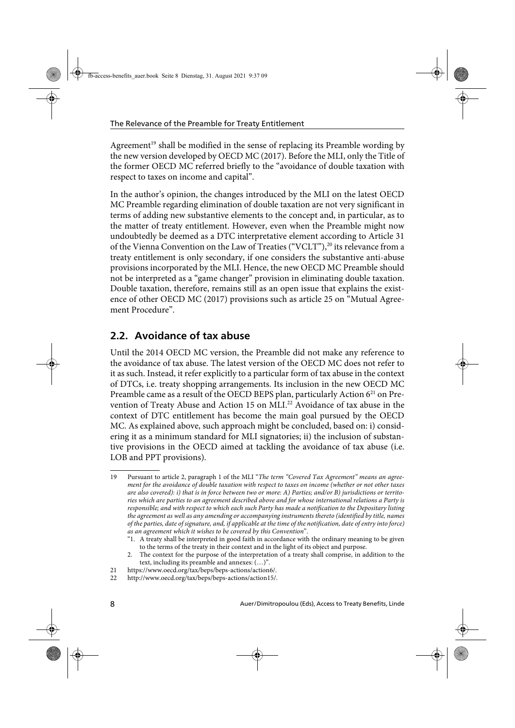Agreement<sup>19</sup> shall be modified in the sense of replacing its Preamble wording by the new version developed by OECD MC (2017). Before the MLI, only the Title of the former OECD MC referred briefly to the "avoidance of double taxation with respect to taxes on income and capital".

In the author's opinion, the changes introduced by the MLI on the latest OECD MC Preamble regarding elimination of double taxation are not very significant in terms of adding new substantive elements to the concept and, in particular, as to the matter of treaty entitlement. However, even when the Preamble might now undoubtedly be deemed as a DTC interpretative element according to Article 31 of the Vienna Convention on the Law of Treaties ("VCLT"),<sup>20</sup> its relevance from a treaty entitlement is only secondary, if one considers the substantive anti-abuse provisions incorporated by the MLI. Hence, the new OECD MC Preamble should not be interpreted as a "game changer" provision in eliminating double taxation. Double taxation, therefore, remains still as an open issue that explains the existence of other OECD MC (2017) provisions such as article 25 on "Mutual Agreement Procedure".

## **2.2. Avoidance of tax abuse**

Until the 2014 OECD MC version, the Preamble did not make any reference to the avoidance of tax abuse. The latest version of the OECD MC does not refer to it as such. Instead, it refer explicitly to a particular form of tax abuse in the context of DTCs, i.e. treaty shopping arrangements. Its inclusion in the new OECD MC Preamble came as a result of the OECD BEPS plan, particularly Action 6<sup>21</sup> on Prevention of Treaty Abuse and Action 15 on MLI.<sup>22</sup> Avoidance of tax abuse in the context of DTC entitlement has become the main goal pursued by the OECD MC. As explained above, such approach might be concluded, based on: i) considering it as a minimum standard for MLI signatories; ii) the inclusion of substantive provisions in the OECD aimed at tackling the avoidance of tax abuse (i.e. LOB and PPT provisions).

<sup>19</sup> Pursuant to article 2, paragraph 1 of the MLI "*The term "Covered Tax Agreement" means an agreement for the avoidance of double taxation with respect to taxes on income (whether or not other taxes are also covered): i) that is in force between two or more: A) Parties; and/or B) jurisdictions or territories which are parties to an agreement described above and for whose international relations a Party is responsible; and with respect to which each such Party has made a notification to the Depositary listing the agreement as well as any amending or accompanying instruments thereto (identified by title, names of the parties, date of signature, and, if applicable at the time of the notification, date of entry into force) as an agreement which it wishes to be covered by this Convention*".

<sup>&</sup>quot;1. A treaty shall be interpreted in good faith in accordance with the ordinary meaning to be given to the terms of the treaty in their context and in the light of its object and purpose.

<sup>2.</sup> The context for the purpose of the interpretation of a treaty shall comprise, in addition to the text, including its preamble and annexes: (…)".

<sup>21</sup> https://www.oecd.org/tax/beps/beps-actions/action6/.

<sup>22</sup> http://www.oecd.org/tax/beps/beps-actions/action15/.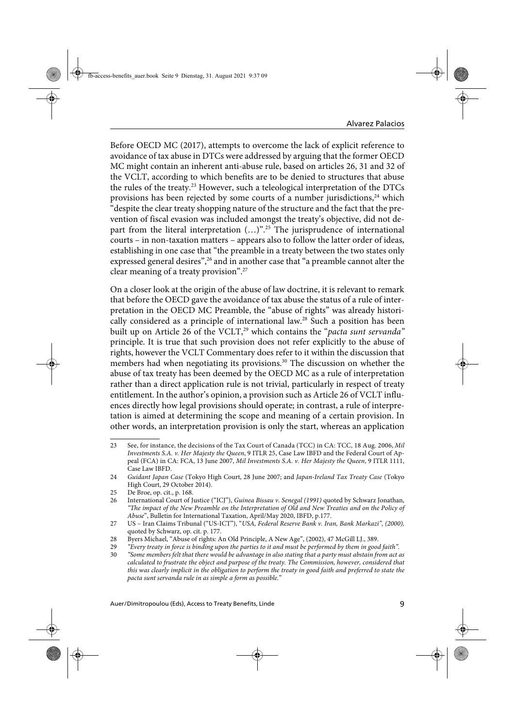Before OECD MC (2017), attempts to overcome the lack of explicit reference to avoidance of tax abuse in DTCs were addressed by arguing that the former OECD MC might contain an inherent anti-abuse rule, based on articles 26, 31 and 32 of the VCLT, according to which benefits are to be denied to structures that abuse the rules of the treaty.<sup>23</sup> However, such a teleological interpretation of the DTCs provisions has been rejected by some courts of a number jurisdictions, $24$  which "despite the clear treaty shopping nature of the structure and the fact that the prevention of fiscal evasion was included amongst the treaty's objective, did not depart from the literal interpretation  $(...)$ <sup>25</sup> The jurisprudence of international courts – in non-taxation matters – appears also to follow the latter order of ideas, establishing in one case that "the preamble in a treaty between the two states only expressed general desires",<sup>26</sup> and in another case that "a preamble cannot alter the clear meaning of a treaty provision".27

On a closer look at the origin of the abuse of law doctrine, it is relevant to remark that before the OECD gave the avoidance of tax abuse the status of a rule of interpretation in the OECD MC Preamble, the "abuse of rights" was already historically considered as a principle of international law.<sup>28</sup> Such a position has been built up on Article 26 of the VCLT,<sup>29</sup> which contains the "pacta sunt servanda" principle. It is true that such provision does not refer explicitly to the abuse of rights, however the VCLT Commentary does refer to it within the discussion that members had when negotiating its provisions.<sup>30</sup> The discussion on whether the abuse of tax treaty has been deemed by the OECD MC as a rule of interpretation rather than a direct application rule is not trivial, particularly in respect of treaty entitlement. In the author's opinion, a provision such as Article 26 of VCLT influences directly how legal provisions should operate; in contrast, a rule of interpretation is aimed at determining the scope and meaning of a certain provision. In other words, an interpretation provision is only the start, whereas an application

<sup>23</sup> See, for instance, the decisions of the Tax Court of Canada (TCC) in CA: TCC, 18 Aug. 2006, *Mil Investments S.A. v. Her Majesty the Queen*, 9 ITLR 25, Case Law IBFD and the Federal Court of Appeal (FCA) in CA: FCA, 13 June 2007, *Mil Investments S.A. v. Her Majesty the Queen*, 9 ITLR 1111, Case Law IBFD.

<sup>24</sup> *Guidant Japan Case* (Tokyo High Court, 28 June 2007; and *Japan-Ireland Tax Treaty Case* (Tokyo High Court, 29 October 2014).

<sup>25</sup> De Broe, op. cit., p. 168.

<sup>26</sup> International Court of Justice ("ICJ"), *Guinea Bissau v. Senegal (1991)* quoted by Schwarz Jonathan, *"The impact of the New Preamble on the Interpretation of Old and New Treaties and on the Policy of Abuse*", Bulletin for International Taxation, April/May 2020, IBFD, p.177.

<sup>27</sup> US – Iran Claims Tribunal ("US-ICT"), "*USA, Federal Reserve Bank v. Iran, Bank Markazi", (2000),* quoted by Schwarz, op. cit. p. 177.

<sup>28</sup> Byers Michael, "Abuse of rights: An Old Principle, A New Age", (2002), 47 McGill LJ., 389.

<sup>29</sup> *"Every treaty in force is binding upon the parties to it and must be performed by them in good faith".* 

<sup>30</sup> *"Some members felt that there would be advantage in also stating that a party must abstain from act as calculated to frustrate the object and purpose of the treaty. The Commission, however, considered that this was clearly implicit in the obligation to perform the treaty in good faith and preferred to state the pacta sunt servanda rule in as simple a form as possible.*"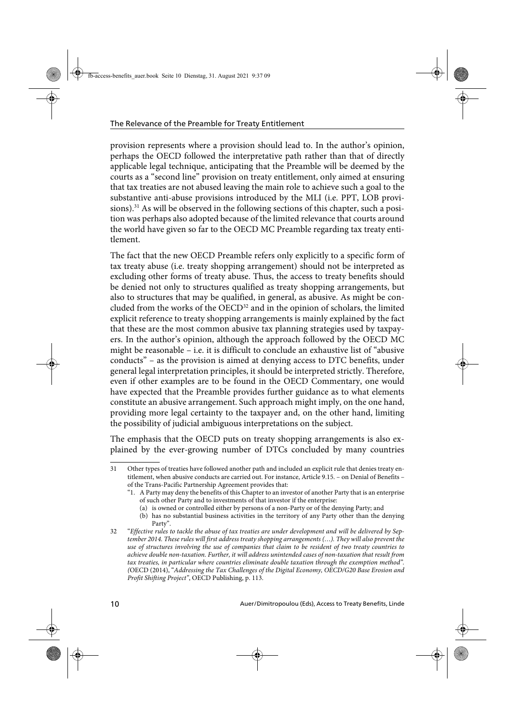provision represents where a provision should lead to. In the author's opinion, perhaps the OECD followed the interpretative path rather than that of directly applicable legal technique, anticipating that the Preamble will be deemed by the courts as a "second line" provision on treaty entitlement, only aimed at ensuring that tax treaties are not abused leaving the main role to achieve such a goal to the substantive anti-abuse provisions introduced by the MLI (i.e. PPT, LOB provisions).<sup>31</sup> As will be observed in the following sections of this chapter, such a position was perhaps also adopted because of the limited relevance that courts around the world have given so far to the OECD MC Preamble regarding tax treaty entitlement.

The fact that the new OECD Preamble refers only explicitly to a specific form of tax treaty abuse (i.e. treaty shopping arrangement) should not be interpreted as excluding other forms of treaty abuse. Thus, the access to treaty benefits should be denied not only to structures qualified as treaty shopping arrangements, but also to structures that may be qualified, in general, as abusive. As might be concluded from the works of the OECD<sup>32</sup> and in the opinion of scholars, the limited explicit reference to treaty shopping arrangements is mainly explained by the fact that these are the most common abusive tax planning strategies used by taxpayers. In the author's opinion, although the approach followed by the OECD MC might be reasonable – i.e. it is difficult to conclude an exhaustive list of "abusive conducts" – as the provision is aimed at denying access to DTC benefits, under general legal interpretation principles, it should be interpreted strictly. Therefore, even if other examples are to be found in the OECD Commentary, one would have expected that the Preamble provides further guidance as to what elements constitute an abusive arrangement. Such approach might imply, on the one hand, providing more legal certainty to the taxpayer and, on the other hand, limiting the possibility of judicial ambiguous interpretations on the subject.

The emphasis that the OECD puts on treaty shopping arrangements is also explained by the ever-growing number of DTCs concluded by many countries

<sup>31</sup> Other types of treaties have followed another path and included an explicit rule that denies treaty entitlement, when abusive conducts are carried out. For instance, Article 9.15. – on Denial of Benefits – of the Trans-Pacific Partnership Agreement provides that:

<sup>&</sup>quot;1. A Party may deny the benefits of this Chapter to an investor of another Party that is an enterprise of such other Party and to investments of that investor if the enterprise:

<sup>(</sup>a) is owned or controlled either by persons of a non-Party or of the denying Party; and

<sup>(</sup>b) has no substantial business activities in the territory of any Party other than the denying Party".

<sup>32 &</sup>quot;*Effective rules to tackle the abuse of tax treaties are under development and will be delivered by September 2014. These rules will first address treaty shopping arrangements (…). They will also prevent the use of structures involving the use of companies that claim to be resident of two treaty countries to achieve double non-taxation. Further, it will address unintended cases of non-taxation that result from tax treaties, in particular where countries eliminate double taxation through the exemption method". (*OECD (2014), "*Addressing the Tax Challenges of the Digital Economy, OECD/G20 Base Erosion and Profit Shifting Project"*, OECD Publishing, p. 113.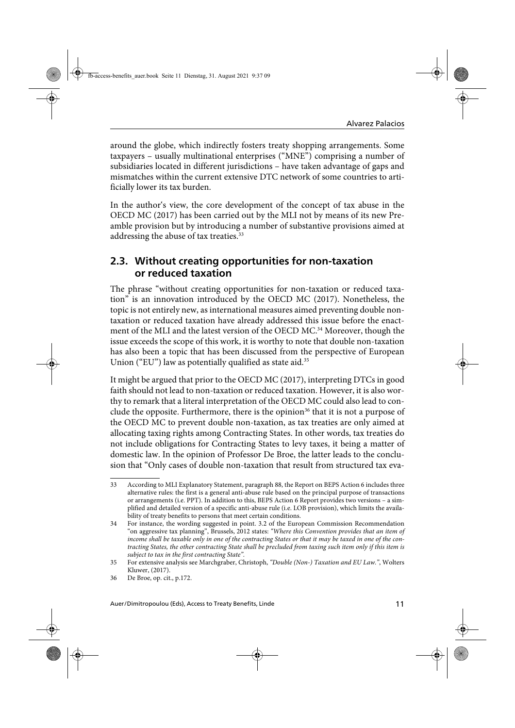around the globe, which indirectly fosters treaty shopping arrangements. Some taxpayers – usually multinational enterprises ("MNE") comprising a number of subsidiaries located in different jurisdictions – have taken advantage of gaps and mismatches within the current extensive DTC network of some countries to artificially lower its tax burden.

In the author's view, the core development of the concept of tax abuse in the OECD MC (2017) has been carried out by the MLI not by means of its new Preamble provision but by introducing a number of substantive provisions aimed at addressing the abuse of tax treaties.<sup>33</sup>

### **2.3. Without creating opportunities for non-taxation or reduced taxation**

The phrase "without creating opportunities for non-taxation or reduced taxation" is an innovation introduced by the OECD MC (2017). Nonetheless, the topic is not entirely new, as international measures aimed preventing double nontaxation or reduced taxation have already addressed this issue before the enactment of the MLI and the latest version of the OECD MC.<sup>34</sup> Moreover, though the issue exceeds the scope of this work, it is worthy to note that double non-taxation has also been a topic that has been discussed from the perspective of European Union ("EU") law as potentially qualified as state aid.<sup>35</sup>

It might be argued that prior to the OECD MC (2017), interpreting DTCs in good faith should not lead to non-taxation or reduced taxation. However, it is also worthy to remark that a literal interpretation of the OECD MC could also lead to conclude the opposite. Furthermore, there is the opinion $36$  that it is not a purpose of the OECD MC to prevent double non-taxation, as tax treaties are only aimed at allocating taxing rights among Contracting States. In other words, tax treaties do not include obligations for Contracting States to levy taxes, it being a matter of domestic law. In the opinion of Professor De Broe, the latter leads to the conclusion that "Only cases of double non-taxation that result from structured tax eva-

<sup>33</sup> According to MLI Explanatory Statement, paragraph 88, the Report on BEPS Action 6 includes three alternative rules: the first is a general anti-abuse rule based on the principal purpose of transactions or arrangements (i.e. PPT). In addition to this, BEPS Action 6 Report provides two versions – a simplified and detailed version of a specific anti-abuse rule (i.e. LOB provision), which limits the availability of treaty benefits to persons that meet certain conditions.

<sup>34</sup> For instance, the wording suggested in point. 3.2 of the European Commission Recommendation "on aggressive tax planning", Brussels, 2012 states: *"Where this Convention provides that an item of income shall be taxable only in one of the contracting States or that it may be taxed in one of the contracting States, the other contracting State shall be precluded from taxing such item only if this item is subject to tax in the first contracting State".*

<sup>35</sup> For extensive analysis see Marchgraber, Christoph, *"Double (Non-) Taxation and EU Law."*, Wolters Kluwer, (2017).

<sup>36</sup> De Broe, op. cit., p.172.